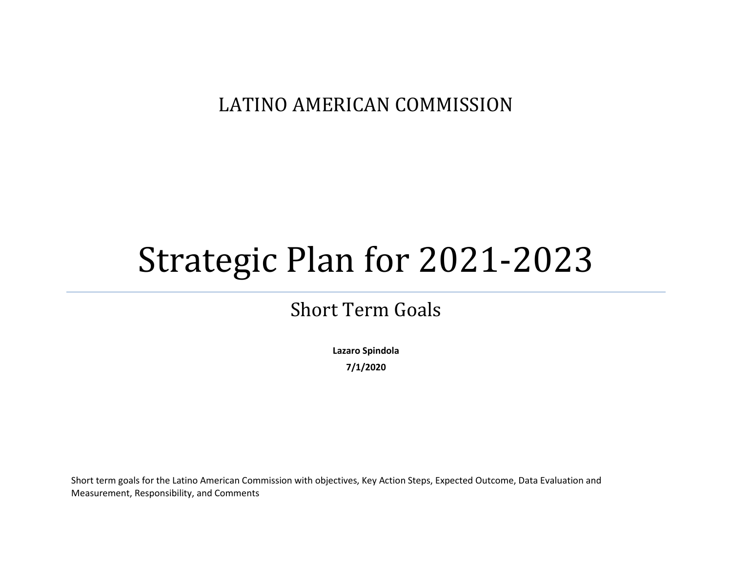## LATINO AMERICAN COMMISSION

## Strategic Plan for 2021-2023

## Short Term Goals

**Lazaro Spindola 7/1/2020**

Short term goals for the Latino American Commission with objectives, Key Action Steps, Expected Outcome, Data Evaluation and Measurement, Responsibility, and Comments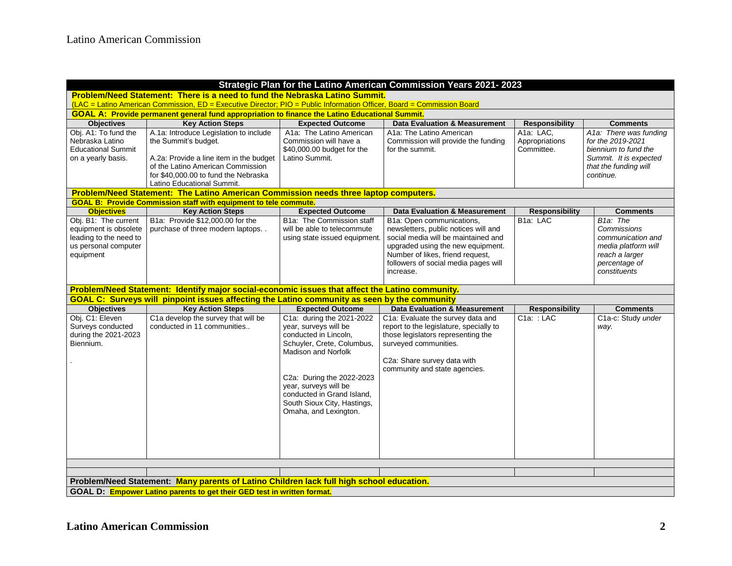| Strategic Plan for the Latino American Commission Years 2021-2023                                                                                                   |                                                                                                                                                                                                                      |                                                                                                                                                                                                                                                                                     |                                                                                                                                                                                                                                        |                                           |                                                                                                                                     |  |  |  |  |  |
|---------------------------------------------------------------------------------------------------------------------------------------------------------------------|----------------------------------------------------------------------------------------------------------------------------------------------------------------------------------------------------------------------|-------------------------------------------------------------------------------------------------------------------------------------------------------------------------------------------------------------------------------------------------------------------------------------|----------------------------------------------------------------------------------------------------------------------------------------------------------------------------------------------------------------------------------------|-------------------------------------------|-------------------------------------------------------------------------------------------------------------------------------------|--|--|--|--|--|
| Problem/Need Statement: There is a need to fund the Nebraska Latino Summit.                                                                                         |                                                                                                                                                                                                                      |                                                                                                                                                                                                                                                                                     |                                                                                                                                                                                                                                        |                                           |                                                                                                                                     |  |  |  |  |  |
| (LAC = Latino American Commission, ED = Executive Director; PIO = Public Information Officer, Board = Commission Board                                              |                                                                                                                                                                                                                      |                                                                                                                                                                                                                                                                                     |                                                                                                                                                                                                                                        |                                           |                                                                                                                                     |  |  |  |  |  |
| <b>GOAL A: Provide permanent general fund appropriation to finance the Latino Educational Summit.</b>                                                               |                                                                                                                                                                                                                      |                                                                                                                                                                                                                                                                                     |                                                                                                                                                                                                                                        |                                           |                                                                                                                                     |  |  |  |  |  |
| <b>Objectives</b>                                                                                                                                                   | <b>Key Action Steps</b>                                                                                                                                                                                              | <b>Expected Outcome</b>                                                                                                                                                                                                                                                             | <b>Data Evaluation &amp; Measurement</b>                                                                                                                                                                                               | <b>Responsibility</b>                     | <b>Comments</b>                                                                                                                     |  |  |  |  |  |
| Obj. A1: To fund the<br>Nebraska Latino<br><b>Educational Summit</b><br>on a yearly basis.                                                                          | A.1a: Introduce Legislation to include<br>the Summit's budget.<br>A.2a: Provide a line item in the budget<br>of the Latino American Commission<br>for \$40,000.00 to fund the Nebraska<br>Latino Educational Summit. | A1a: The Latino American<br>Commission will have a<br>\$40,000.00 budget for the<br>Latino Summit.                                                                                                                                                                                  | A1a: The Latino American<br>Commission will provide the funding<br>for the summit.                                                                                                                                                     | A1a: LAC,<br>Appropriations<br>Committee. | A1a: There was funding<br>for the 2019-2021<br>biennium to fund the<br>Summit. It is expected<br>that the funding will<br>continue. |  |  |  |  |  |
| Problem/Need Statement: The Latino American Commission needs three laptop computers.<br><b>GOAL B: Provide Commission staff with equipment to tele commute.</b>     |                                                                                                                                                                                                                      |                                                                                                                                                                                                                                                                                     |                                                                                                                                                                                                                                        |                                           |                                                                                                                                     |  |  |  |  |  |
| <b>Objectives</b>                                                                                                                                                   | <b>Key Action Steps</b>                                                                                                                                                                                              | <b>Expected Outcome</b>                                                                                                                                                                                                                                                             | <b>Data Evaluation &amp; Measurement</b>                                                                                                                                                                                               | <b>Responsibility</b>                     | <b>Comments</b>                                                                                                                     |  |  |  |  |  |
| Obj. B1: The current<br>equipment is obsolete<br>leading to the need to<br>us personal computer<br>equipment                                                        | B1a: Provide \$12,000.00 for the<br>purchase of three modern laptops                                                                                                                                                 | B1a: The Commission staff<br>will be able to telecommute<br>using state issued equipment.                                                                                                                                                                                           | B1a: Open communications.<br>newsletters, public notices will and<br>social media will be maintained and<br>upgraded using the new equipment.<br>Number of likes, friend request,<br>followers of social media pages will<br>increase. | B <sub>1a</sub> : LAC                     | B <sub>1a</sub> : The<br>Commissions<br>communication and<br>media platform will<br>reach a larger<br>percentage of<br>constituents |  |  |  |  |  |
| Problem/Need Statement: Identify major social-economic issues that affect the Latino community.                                                                     |                                                                                                                                                                                                                      |                                                                                                                                                                                                                                                                                     |                                                                                                                                                                                                                                        |                                           |                                                                                                                                     |  |  |  |  |  |
|                                                                                                                                                                     | <b>GOAL C: Surveys will pinpoint issues affecting the Latino community as seen by the community</b>                                                                                                                  |                                                                                                                                                                                                                                                                                     |                                                                                                                                                                                                                                        |                                           |                                                                                                                                     |  |  |  |  |  |
| <b>Objectives</b>                                                                                                                                                   | <b>Key Action Steps</b>                                                                                                                                                                                              | <b>Expected Outcome</b>                                                                                                                                                                                                                                                             | <b>Data Evaluation &amp; Measurement</b>                                                                                                                                                                                               | <b>Responsibility</b>                     | <b>Comments</b>                                                                                                                     |  |  |  |  |  |
| Obj. C1: Eleven<br>Surveys conducted<br>during the 2021-2023<br>Biennium.                                                                                           | C1a develop the survey that will be<br>conducted in 11 communities                                                                                                                                                   | C1a: during the 2021-2022<br>year, surveys will be<br>conducted in Lincoln.<br>Schuyler, Crete, Columbus,<br><b>Madison and Norfolk</b><br>C2a: During the 2022-2023<br>year, surveys will be<br>conducted in Grand Island,<br>South Sioux City, Hastings,<br>Omaha, and Lexington. | C1a: Evaluate the survey data and<br>report to the legislature, specially to<br>those legislators representing the<br>surveyed communities.<br>C2a: Share survey data with<br>community and state agencies.                            | $C1a$ : : LAC                             | C1a-c: Study under<br>way.                                                                                                          |  |  |  |  |  |
|                                                                                                                                                                     |                                                                                                                                                                                                                      |                                                                                                                                                                                                                                                                                     |                                                                                                                                                                                                                                        |                                           |                                                                                                                                     |  |  |  |  |  |
| Problem/Need Statement: Many parents of Latino Children lack full high school education.<br>GOAL D: Empower Latino parents to get their GED test in written format. |                                                                                                                                                                                                                      |                                                                                                                                                                                                                                                                                     |                                                                                                                                                                                                                                        |                                           |                                                                                                                                     |  |  |  |  |  |